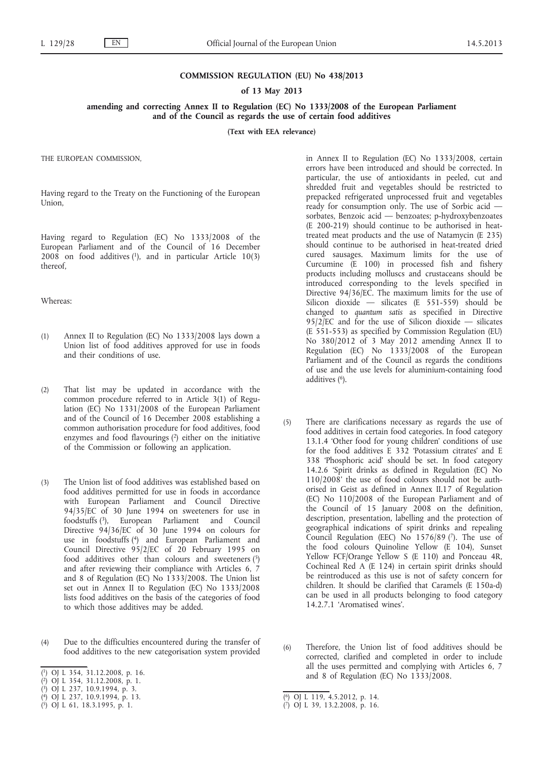## **COMMISSION REGULATION (EU) No 438/2013**

## **of 13 May 2013**

## **amending and correcting Annex II to Regulation (EC) No 1333/2008 of the European Parliament and of the Council as regards the use of certain food additives**

**(Text with EEA relevance)**

THE EUROPEAN COMMISSION,

Having regard to the Treaty on the Functioning of the European Union,

Having regard to Regulation (EC) No 1333/2008 of the European Parliament and of the Council of 16 December  $2008$  on food additives (1), and in particular Article 10(3) thereof,

Whereas:

- (1) Annex II to Regulation (EC) No 1333/2008 lays down a Union list of food additives approved for use in foods and their conditions of use.
- (2) That list may be updated in accordance with the common procedure referred to in Article 3(1) of Regulation (EC) No 1331/2008 of the European Parliament and of the Council of 16 December 2008 establishing a common authorisation procedure for food additives, food enzymes and food flavourings (2) either on the initiative of the Commission or following an application.
- (3) The Union list of food additives was established based on food additives permitted for use in foods in accordance with European Parliament and Council Directive 94/35/EC of 30 June 1994 on sweeteners for use in foodstuffs (3), European Parliament and Council Directive 94/36/EC of 30 June 1994 on colours for use in foodstuffs (4) and European Parliament and Council Directive 95/2/EC of 20 February 1995 on food additives other than colours and sweeteners (5) and after reviewing their compliance with Articles 6, 7 and 8 of Regulation (EC) No 1333/2008. The Union list set out in Annex II to Regulation (EC) No 1333/2008 lists food additives on the basis of the categories of food to which those additives may be added.
- (4) Due to the difficulties encountered during the transfer of food additives to the new categorisation system provided
- ( 1) OJ L 354, 31.12.2008, p. 16.

- ( 3) OJ L 237, 10.9.1994, p. 3.
- ( 4) OJ L 237, 10.9.1994, p. 13.
- ( 5) OJ L 61, 18.3.1995, p. 1.

in Annex II to Regulation (EC) No 1333/2008, certain errors have been introduced and should be corrected. In particular, the use of antioxidants in peeled, cut and shredded fruit and vegetables should be restricted to prepacked refrigerated unprocessed fruit and vegetables ready for consumption only. The use of Sorbic acid sorbates, Benzoic acid — benzoates; p-hydroxybenzoates (E 200-219) should continue to be authorised in heattreated meat products and the use of Natamycin (E 235) should continue to be authorised in heat-treated dried cured sausages. Maximum limits for the use of Curcumine (E 100) in processed fish and fishery products including molluscs and crustaceans should be introduced corresponding to the levels specified in Directive 94/36/EC. The maximum limits for the use of Silicon dioxide — silicates (E 551-559) should be changed to *quantum satis* as specified in Directive  $95/2$ /EC and for the use of Silicon dioxide — silicates (E 551-553) as specified by Commission Regulation (EU) No 380/2012 of 3 May 2012 amending Annex II to Regulation (EC) No 1333/2008 of the European Parliament and of the Council as regards the conditions of use and the use levels for aluminium-containing food additives (6).

- (5) There are clarifications necessary as regards the use of food additives in certain food categories. In food category 13.1.4 'Other food for young children' conditions of use for the food additives E 332 'Potassium citrates' and E 338 'Phosphoric acid' should be set. In food category 14.2.6 'Spirit drinks as defined in Regulation (EC) No 110/2008' the use of food colours should not be authorised in Geist as defined in Annex II.17 of Regulation (EC) No 110/2008 of the European Parliament and of the Council of 15 January 2008 on the definition, description, presentation, labelling and the protection of geographical indications of spirit drinks and repealing Council Regulation (EEC) No  $1576/89$  (7). The use of the food colours Quinoline Yellow (E 104), Sunset Yellow FCF/Orange Yellow S (E 110) and Ponceau 4R, Cochineal Red A (E 124) in certain spirit drinks should be reintroduced as this use is not of safety concern for children. It should be clarified that Caramels (E 150a-d) can be used in all products belonging to food category 14.2.7.1 'Aromatised wines'.
- (6) Therefore, the Union list of food additives should be corrected, clarified and completed in order to include all the uses permitted and complying with Articles 6, 7 and 8 of Regulation (EC) No  $1333/2008$ .

<sup>(</sup> 2) OJ L 354, 31.12.2008, p. 1.

<sup>(</sup> 6) OJ L 119, 4.5.2012, p. 14.

<sup>(</sup> 7) OJ L 39, 13.2.2008, p. 16.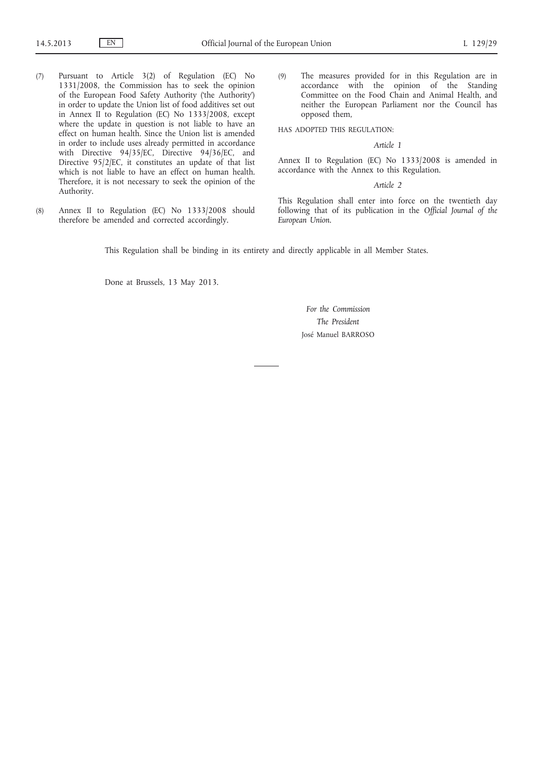- (7) Pursuant to Article 3(2) of Regulation (EC) No 1331/2008, the Commission has to seek the opinion of the European Food Safety Authority ('the Authority') in order to update the Union list of food additives set out in Annex II to Regulation (EC) No 1333/2008, except where the update in question is not liable to have an effect on human health. Since the Union list is amended in order to include uses already permitted in accordance with Directive 94/35/EC, Directive 94/36/EC, and Directive 95/2/EC, it constitutes an update of that list which is not liable to have an effect on human health. Therefore, it is not necessary to seek the opinion of the Authority.
- (8) Annex II to Regulation (EC) No 1333/2008 should therefore be amended and corrected accordingly.

(9) The measures provided for in this Regulation are in accordance with the opinion of the Standing Committee on the Food Chain and Animal Health, and neither the European Parliament nor the Council has opposed them,

HAS ADOPTED THIS REGULATION:

## *Article 1*

Annex II to Regulation (EC) No 1333/2008 is amended in accordance with the Annex to this Regulation.

*Article 2*

This Regulation shall enter into force on the twentieth day following that of its publication in the *Official Journal of the European Union*.

This Regulation shall be binding in its entirety and directly applicable in all Member States.

Done at Brussels, 13 May 2013.

*For the Commission The President* José Manuel BARROSO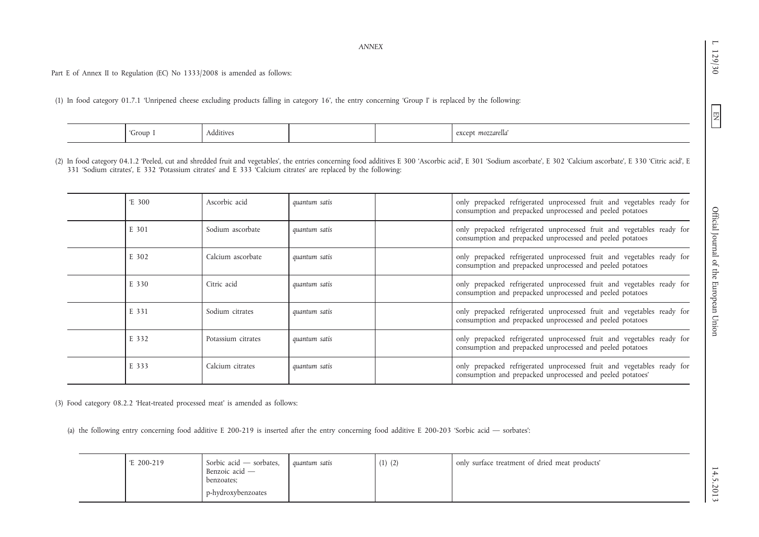*ANNEX*

Part E of Annex II to Regulation (EC) No 1333/2008 is amended as follows:

(1) In food category 01.7.1 'Unripened cheese excluding products falling in category 16', the entry concerning 'Group I' is replaced by the following:

| $\overline{\phantom{0}}$ | Group <sup>-</sup> | Additives |  | mozzarella<br>except<br>---- |
|--------------------------|--------------------|-----------|--|------------------------------|
|                          |                    |           |  |                              |

(2) In food category 04.1.2 'Peeled, cut and shredded fruit and vegetables', the entries concerning food additives E 300 'Ascorbic acid', E 301 'Sodium ascorbate', E 302 'Calcium ascorbate', E 330 'Citric acid', E 331 'Sodium citrates', E 332 'Potassium citrates' and E 333 'Calcium citrates' are replaced by the following:

| $E_{.}300$ | Ascorbic acid      | quantum satis | only prepacked refrigerated unprocessed fruit and vegetables ready for<br>consumption and prepacked unprocessed and peeled potatoes  |
|------------|--------------------|---------------|--------------------------------------------------------------------------------------------------------------------------------------|
| E 301      | Sodium ascorbate   | quantum satis | only prepacked refrigerated unprocessed fruit and vegetables ready for<br>consumption and prepacked unprocessed and peeled potatoes  |
| E 302      | Calcium ascorbate  | quantum satis | only prepacked refrigerated unprocessed fruit and vegetables ready for<br>consumption and prepacked unprocessed and peeled potatoes  |
| E 330      | Citric acid        | quantum satis | only prepacked refrigerated unprocessed fruit and vegetables ready for<br>consumption and prepacked unprocessed and peeled potatoes  |
| E 331      | Sodium citrates    | quantum satis | only prepacked refrigerated unprocessed fruit and vegetables ready for<br>consumption and prepacked unprocessed and peeled potatoes  |
| E 332      | Potassium citrates | quantum satis | only prepacked refrigerated unprocessed fruit and vegetables ready for<br>consumption and prepacked unprocessed and peeled potatoes  |
| E 333      | Calcium citrates   | quantum satis | only prepacked refrigerated unprocessed fruit and vegetables ready for<br>consumption and prepacked unprocessed and peeled potatoes' |

(3) Food category 08.2.2 'Heat-treated processed meat' is amended as follows:

(a) the following entry concerning food additive E 200-219 is inserted after the entry concerning food additive E 200-203 'Sorbic acid — sorbates':

| $E$ 200-219<br>Sorbic acid – sorbates,<br>Benzoic acid -<br>benzoates:<br>p-hydroxybenzoates | guantum satis | $(1)$ $(2)$ | only surface treatment of dried meat products' |
|----------------------------------------------------------------------------------------------|---------------|-------------|------------------------------------------------|
|----------------------------------------------------------------------------------------------|---------------|-------------|------------------------------------------------|

 $\blacksquare$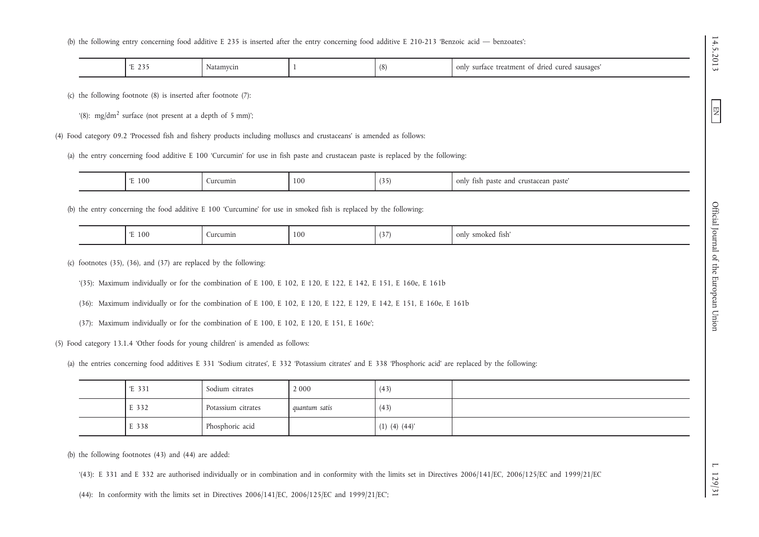(b) the following entry concerning food additive E 235 is inserted after the entry concerning food additive E 210-213 'Benzoic acid — benzoates':

| . .<br>$\epsilon$<br>. .<br><u>_</u><br>. . | latamycın<br>$\sim$ $\sim$ |  | (8) | sausages<br>$r_{11}$ re<br>treatment<br>oni,<br>. ariec<br>surfac. |
|---------------------------------------------|----------------------------|--|-----|--------------------------------------------------------------------|
|---------------------------------------------|----------------------------|--|-----|--------------------------------------------------------------------|

(c) the following footnote (8) is inserted after footnote (7):

'(8): mg/dm<sup>2</sup> surface (not present at a depth of 5 mm)';

(4) Food category 09.2 'Processed fish and fishery products including molluscs and crustaceans' is amended as follows:

(a) the entry concerning food additive E 100 'Curcumin' for use in fish paste and crustacean paste is replaced by the following:

| 100<br>- | urcumin | 100 | $\sim$ | $\sim$<br>$\alpha$ nly<br>paste<br>11Sh<br>and<br>.0.1<br>paste<br>erustacean<br><b>VIII</b> |
|----------|---------|-----|--------|----------------------------------------------------------------------------------------------|

(b) the entry concerning the food additive E 100 'Curcumine' for use in smoked fish is replaced by the following:

| $\sqrt{ }$<br>. . | 100 | urcumin | 100 | $\cup$ | smokea<br>only<br>tish′ |
|-------------------|-----|---------|-----|--------|-------------------------|
|-------------------|-----|---------|-----|--------|-------------------------|

(c) footnotes (35), (36), and (37) are replaced by the following:

'(35): Maximum individually or for the combination of E 100, E 102, E 120, E 122, E 142, E 151, E 160e, E 161b

(36): Maximum individually or for the combination of E 100, E 102, E 120, E 122, E 129, E 142, E 151, E 160e, E 161b

(37): Maximum individually or for the combination of E 100, E 102, E 120, E 151, E 160e';

(5) Food category 13.1.4 'Other foods for young children' is amended as follows:

(a) the entries concerning food additives E 331 'Sodium citrates', E 332 'Potassium citrates' and E 338 'Phosphoric acid' are replaced by the following:

| E 331 | Sodium citrates    | 2 0 0 0       | (43)              |  |
|-------|--------------------|---------------|-------------------|--|
| E 332 | Potassium citrates | quantum satis | (43)              |  |
| E 338 | Phosphoric acid    |               | $(1)$ (4) $(44)'$ |  |

(b) the following footnotes (43) and (44) are added:

'(43): E 331 and E 332 are authorised individually or in combination and in conformity with the limits set in Directives 2006/141/EC, 2006/125/EC and 1999/21/EC

(44): In conformity with the limits set in Directives 2006/141/EC, 2006/125/EC and 1999/21/EC';

14.5.2013

E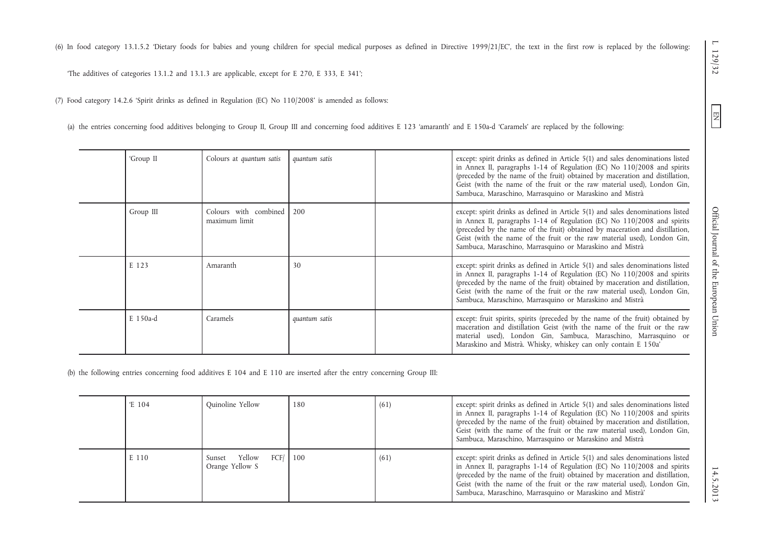(6) In food category 13.1.5.2 'Dietary foods for babies and young children for special medical purposes as defined in Directive 1999/21/EC', the text in the first row is replaced by the following:

'The additives of categories 13.1.2 and 13.1.3 are applicable, except for E 270, E 333, E 341';

(7) Food category 14.2.6 'Spirit drinks as defined in Regulation (EC) No 110/2008' is amended as follows:

(a) the entries concerning food additives belonging to Group II, Group III and concerning food additives E 123 'amaranth' and E 150a-d 'Caramels' are replaced by the following:

| 'Group II | Colours at quantum satis               | quantum satis | except: spirit drinks as defined in Article 5(1) and sales denominations listed<br>in Annex II, paragraphs 1-14 of Regulation (EC) No 110/2008 and spirits<br>(preceded by the name of the fruit) obtained by maceration and distillation,<br>Geist (with the name of the fruit or the raw material used), London Gin,<br>Sambuca, Maraschino, Marrasquino or Maraskino and Mistrà |
|-----------|----------------------------------------|---------------|------------------------------------------------------------------------------------------------------------------------------------------------------------------------------------------------------------------------------------------------------------------------------------------------------------------------------------------------------------------------------------|
| Group III | Colours with combined<br>maximum limit | 200           | except: spirit drinks as defined in Article 5(1) and sales denominations listed<br>in Annex II, paragraphs 1-14 of Regulation (EC) No 110/2008 and spirits<br>(preceded by the name of the fruit) obtained by maceration and distillation,<br>Geist (with the name of the fruit or the raw material used), London Gin,<br>Sambuca, Maraschino, Marrasquino or Maraskino and Mistrà |
| E 123     | Amaranth                               | 30            | except: spirit drinks as defined in Article 5(1) and sales denominations listed<br>in Annex II, paragraphs 1-14 of Regulation (EC) No 110/2008 and spirits<br>(preceded by the name of the fruit) obtained by maceration and distillation,<br>Geist (with the name of the fruit or the raw material used), London Gin,<br>Sambuca, Maraschino, Marrasquino or Maraskino and Mistrà |
| E 150a-d  | Caramels                               | quantum satis | except: fruit spirits, spirits (preceded by the name of the fruit) obtained by<br>maceration and distillation Geist (with the name of the fruit or the raw<br>material used), London Gin, Sambuca, Maraschino, Marrasquino or<br>Maraskino and Mistrà. Whisky, whiskey can only contain E 150a'                                                                                    |

(b) the following entries concerning food additives E 104 and E 110 are inserted after the entry concerning Group III:

| E 104 | Quinoline Yellow                                | 180 | (61) | except: spirit drinks as defined in Article 5(1) and sales denominations listed<br>in Annex II, paragraphs 1-14 of Regulation (EC) No 110/2008 and spirits<br>(preceded by the name of the fruit) obtained by maceration and distillation,<br>Geist (with the name of the fruit or the raw material used), London Gin,<br>Sambuca, Maraschino, Marrasquino or Maraskino and Mistrà  |
|-------|-------------------------------------------------|-----|------|-------------------------------------------------------------------------------------------------------------------------------------------------------------------------------------------------------------------------------------------------------------------------------------------------------------------------------------------------------------------------------------|
| E 110 | Yellow<br>FCF/ 100<br>Sunset<br>Orange Yellow S |     | (61) | except: spirit drinks as defined in Article 5(1) and sales denominations listed<br>in Annex II, paragraphs 1-14 of Regulation (EC) No 110/2008 and spirits<br>(preceded by the name of the fruit) obtained by maceration and distillation,<br>Geist (with the name of the fruit or the raw material used), London Gin,<br>Sambuca, Maraschino, Marrasquino or Maraskino and Mistrà' |